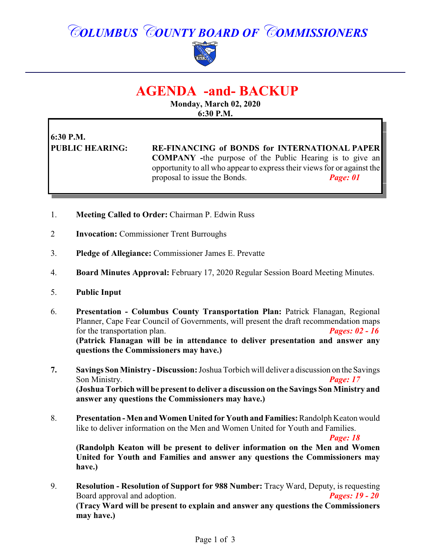# *COLUMBUS COUNTY BOARD OF COMMISSIONERS*



# **AGENDA -and- BACKUP**

**Monday, March 02, 2020 6:30 P.M.**

### **6:30 P.M. PUBLIC HEARING: RE-FINANCING of BONDS for INTERNATIONAL PAPER COMPANY -**the purpose of the Public Hearing is to give an opportunity to all who appear to express their views for or against the proposal to issue the Bonds. *Page: 01*

- 1. **Meeting Called to Order:** Chairman P. Edwin Russ
- 2 **Invocation:** Commissioner Trent Burroughs
- 3. **Pledge of Allegiance:** Commissioner James E. Prevatte
- 4. **Board Minutes Approval:** February 17, 2020 Regular Session Board Meeting Minutes.
- 5. **Public Input**
- 6. **Presentation Columbus County Transportation Plan:** Patrick Flanagan, Regional Planner, Cape Fear Council of Governments, will present the draft recommendation maps for the transportation plan. *Pages: 02 - 16* **(Patrick Flanagan will be in attendance to deliver presentation and answer any questions the Commissioners may have.)**
- **7. Savings Son Ministry -Discussion:**Joshua Torbich will deliver a discussion on the Savings Son Ministry. **Page: 17 (Joshua Torbich will be present to deliver a discussion on the Savings Son Ministry and answer any questions the Commissioners may have.)**
- 8. **Presentation Men and Women United for Youth and Families:**Randolph Keaton would like to deliver information on the Men and Women United for Youth and Families.

*Page: 18*

**(Randolph Keaton will be present to deliver information on the Men and Women United for Youth and Families and answer any questions the Commissioners may have.)**

9. **Resolution - Resolution of Support for 988 Number:** Tracy Ward, Deputy, is requesting Board approval and adoption. *Pages: 19 - 20* **(Tracy Ward will be present to explain and answer any questions the Commissioners may have.)**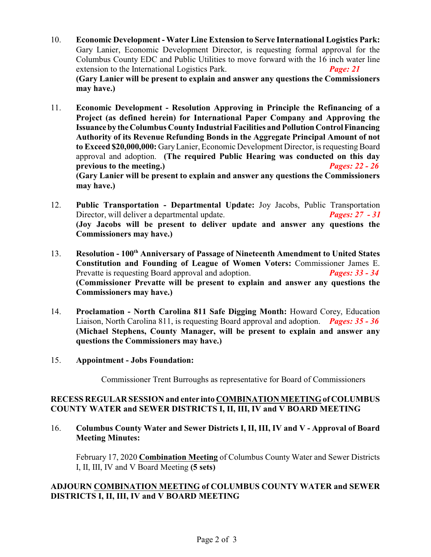- 10. **Economic Development Water Line Extension to Serve International Logistics Park:** Gary Lanier, Economic Development Director, is requesting formal approval for the Columbus County EDC and Public Utilities to move forward with the 16 inch water line extension to the International Logistics Park. *Page: 21* **(Gary Lanier will be present to explain and answer any questions the Commissioners may have.)**
- 11. **Economic Development Resolution Approving in Principle the Refinancing of a Project (as defined herein) for International Paper Company and Approving the Issuanceby theColumbus County Industrial Facilities and PollutionControlFinancing Authority of its Revenue Refunding Bonds in the Aggregate Principal Amount of not** to Exceed \$20,000,000: Gary Lanier, Economic Development Director, is requesting Board approval and adoption. **(The required Public Hearing was conducted on this day previous to the meeting.)** *Pages: 22 - 26* **(Gary Lanier will be present to explain and answer any questions the Commissioners may have.)**
- 12. **Public Transportation - Departmental Update:** Joy Jacobs, Public Transportation Director, will deliver a departmental update. *Pages: 27 - 31* **(Joy Jacobs will be present to deliver update and answer any questions the Commissioners may have.)**
- 13. **Resolution 100th Anniversary of Passage of Nineteenth Amendment to United States Constitution and Founding of League of Women Voters:** Commissioner James E. Prevatte is requesting Board approval and adoption. *Pages: 33 - 34* **(Commissioner Prevatte will be present to explain and answer any questions the Commissioners may have.)**
- 14. **Proclamation North Carolina 811 Safe Digging Month:** Howard Corey, Education Liaison, North Carolina 811, is requesting Board approval and adoption. *Pages: 35 - 36* **(Michael Stephens, County Manager, will be present to explain and answer any questions the Commissioners may have.)**

#### 15. **Appointment - Jobs Foundation:**

Commissioner Trent Burroughs as representative for Board of Commissioners

#### **RECESS REGULAR SESSION and enter into COMBINATION MEETINGof COLUMBUS COUNTY WATER and SEWER DISTRICTS I, II, III, IV and V BOARD MEETING**

#### 16. **Columbus County Water and Sewer Districts I, II, III, IV and V - Approval of Board Meeting Minutes:**

February 17, 2020 **Combination Meeting** of Columbus County Water and Sewer Districts I, II, III, IV and V Board Meeting **(5 sets)**

#### **ADJOURN COMBINATION MEETING of COLUMBUS COUNTY WATER and SEWER DISTRICTS I, II, III, IV and V BOARD MEETING**